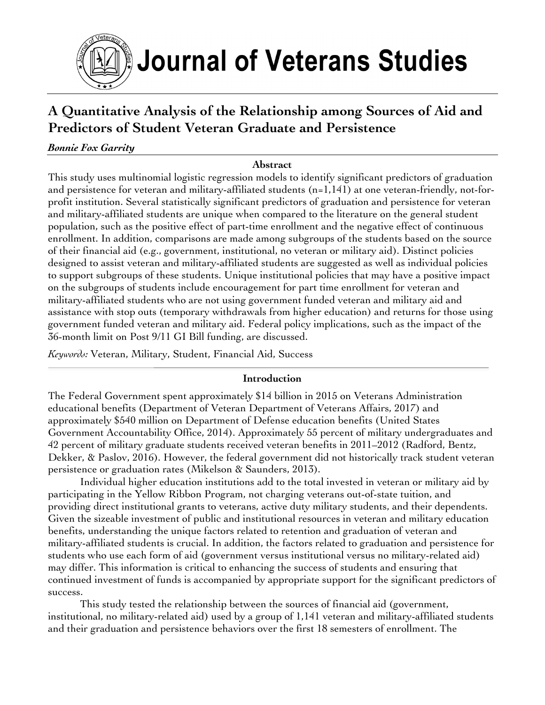

# **A Quantitative Analysis of the Relationship among Sources of Aid and Predictors of Student Veteran Graduate and Persistence**

# *Bonnie Fox Garrity*

### **Abstract**

This study uses multinomial logistic regression models to identify significant predictors of graduation and persistence for veteran and military-affiliated students (n=1,141) at one veteran-friendly, not-forprofit institution. Several statistically significant predictors of graduation and persistence for veteran and military-affiliated students are unique when compared to the literature on the general student population, such as the positive effect of part-time enrollment and the negative effect of continuous enrollment. In addition, comparisons are made among subgroups of the students based on the source of their financial aid (e.g., government, institutional, no veteran or military aid). Distinct policies designed to assist veteran and military-affiliated students are suggested as well as individual policies to support subgroups of these students. Unique institutional policies that may have a positive impact on the subgroups of students include encouragement for part time enrollment for veteran and military-affiliated students who are not using government funded veteran and military aid and assistance with stop outs (temporary withdrawals from higher education) and returns for those using government funded veteran and military aid. Federal policy implications, such as the impact of the 36-month limit on Post 9/11 GI Bill funding, are discussed.

*Keywords:* Veteran, Military, Student, Financial Aid, Success

### **Introduction**

The Federal Government spent approximately \$14 billion in 2015 on Veterans Administration educational benefits (Department of Veteran Department of Veterans Affairs, 2017) and approximately \$540 million on Department of Defense education benefits (United States Government Accountability Office, 2014). Approximately 55 percent of military undergraduates and 42 percent of military graduate students received veteran benefits in 2011–2012 (Radford, Bentz, Dekker, & Paslov, 2016). However, the federal government did not historically track student veteran persistence or graduation rates (Mikelson & Saunders, 2013).

Individual higher education institutions add to the total invested in veteran or military aid by participating in the Yellow Ribbon Program, not charging veterans out-of-state tuition, and providing direct institutional grants to veterans, active duty military students, and their dependents. Given the sizeable investment of public and institutional resources in veteran and military education benefits, understanding the unique factors related to retention and graduation of veteran and military-affiliated students is crucial. In addition, the factors related to graduation and persistence for students who use each form of aid (government versus institutional versus no military-related aid) may differ. This information is critical to enhancing the success of students and ensuring that continued investment of funds is accompanied by appropriate support for the significant predictors of success.

This study tested the relationship between the sources of financial aid (government, institutional, no military-related aid) used by a group of 1,141 veteran and military-affiliated students and their graduation and persistence behaviors over the first 18 semesters of enrollment. The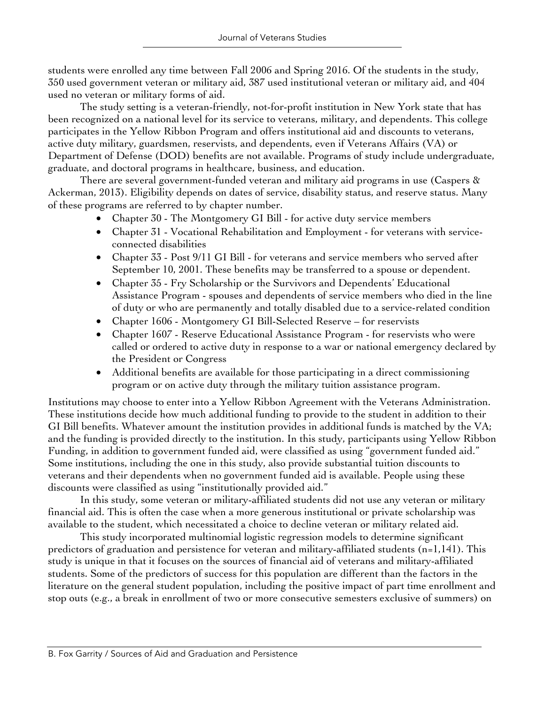students were enrolled any time between Fall 2006 and Spring 2016. Of the students in the study, 350 used government veteran or military aid, 387 used institutional veteran or military aid, and 404 used no veteran or military forms of aid.

The study setting is a veteran-friendly, not-for-profit institution in New York state that has been recognized on a national level for its service to veterans, military, and dependents. This college participates in the Yellow Ribbon Program and offers institutional aid and discounts to veterans, active duty military, guardsmen, reservists, and dependents, even if Veterans Affairs (VA) or Department of Defense (DOD) benefits are not available. Programs of study include undergraduate, graduate, and doctoral programs in healthcare, business, and education.

There are several government-funded veteran and military aid programs in use (Caspers & Ackerman, 2013). Eligibility depends on dates of service, disability status, and reserve status. Many of these programs are referred to by chapter number.

- Chapter 30 The Montgomery GI Bill for active duty service members
- Chapter 31 Vocational Rehabilitation and Employment for veterans with serviceconnected disabilities
- Chapter 33 Post 9/11 GI Bill for veterans and service members who served after September 10, 2001. These benefits may be transferred to a spouse or dependent.
- Chapter 35 Fry Scholarship or the Survivors and Dependents' Educational Assistance Program - spouses and dependents of service members who died in the line of duty or who are permanently and totally disabled due to a service-related condition
- Chapter 1606 Montgomery GI Bill-Selected Reserve for reservists
- Chapter 1607 Reserve Educational Assistance Program for reservists who were called or ordered to active duty in response to a war or national emergency declared by the President or Congress
- Additional benefits are available for those participating in a direct commissioning program or on active duty through the military tuition assistance program.

Institutions may choose to enter into a Yellow Ribbon Agreement with the Veterans Administration. These institutions decide how much additional funding to provide to the student in addition to their GI Bill benefits. Whatever amount the institution provides in additional funds is matched by the VA; and the funding is provided directly to the institution. In this study, participants using Yellow Ribbon Funding, in addition to government funded aid, were classified as using "government funded aid." Some institutions, including the one in this study, also provide substantial tuition discounts to veterans and their dependents when no government funded aid is available. People using these discounts were classified as using "institutionally provided aid."

In this study, some veteran or military-affiliated students did not use any veteran or military financial aid. This is often the case when a more generous institutional or private scholarship was available to the student, which necessitated a choice to decline veteran or military related aid.

This study incorporated multinomial logistic regression models to determine significant predictors of graduation and persistence for veteran and military-affiliated students (n=1,141). This study is unique in that it focuses on the sources of financial aid of veterans and military-affiliated students. Some of the predictors of success for this population are different than the factors in the literature on the general student population, including the positive impact of part time enrollment and stop outs (e.g., a break in enrollment of two or more consecutive semesters exclusive of summers) on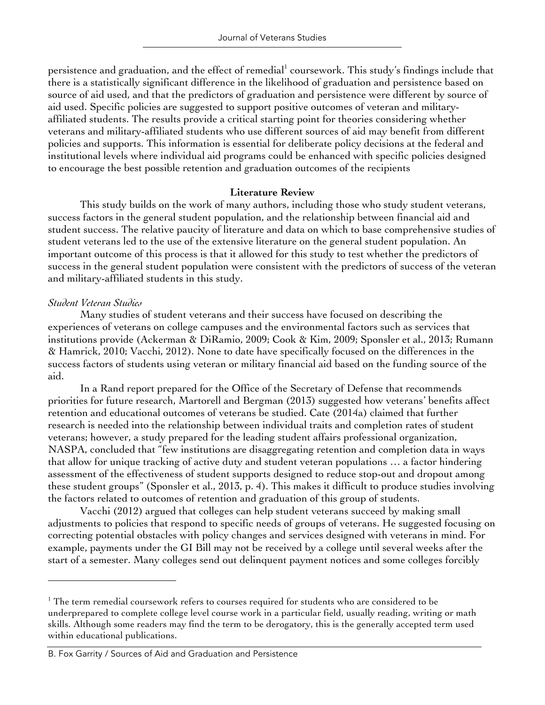persistence and graduation, and the effect of remedial<sup>1</sup> coursework. This study's findings include that there is a statistically significant difference in the likelihood of graduation and persistence based on source of aid used, and that the predictors of graduation and persistence were different by source of aid used. Specific policies are suggested to support positive outcomes of veteran and militaryaffiliated students. The results provide a critical starting point for theories considering whether veterans and military-affiliated students who use different sources of aid may benefit from different policies and supports. This information is essential for deliberate policy decisions at the federal and institutional levels where individual aid programs could be enhanced with specific policies designed to encourage the best possible retention and graduation outcomes of the recipients

### **Literature Review**

This study builds on the work of many authors, including those who study student veterans, success factors in the general student population, and the relationship between financial aid and student success. The relative paucity of literature and data on which to base comprehensive studies of student veterans led to the use of the extensive literature on the general student population. An important outcome of this process is that it allowed for this study to test whether the predictors of success in the general student population were consistent with the predictors of success of the veteran and military-affiliated students in this study.

### *Student Veteran Studies*

 

Many studies of student veterans and their success have focused on describing the experiences of veterans on college campuses and the environmental factors such as services that institutions provide (Ackerman & DiRamio, 2009; Cook & Kim, 2009; Sponsler et al., 2013; Rumann & Hamrick, 2010; Vacchi, 2012). None to date have specifically focused on the differences in the success factors of students using veteran or military financial aid based on the funding source of the aid.

In a Rand report prepared for the Office of the Secretary of Defense that recommends priorities for future research, Martorell and Bergman (2013) suggested how veterans' benefits affect retention and educational outcomes of veterans be studied. Cate (2014a) claimed that further research is needed into the relationship between individual traits and completion rates of student veterans; however, a study prepared for the leading student affairs professional organization, NASPA, concluded that "few institutions are disaggregating retention and completion data in ways that allow for unique tracking of active duty and student veteran populations … a factor hindering assessment of the effectiveness of student supports designed to reduce stop-out and dropout among these student groups" (Sponsler et al., 2013, p. 4). This makes it difficult to produce studies involving the factors related to outcomes of retention and graduation of this group of students.

Vacchi (2012) argued that colleges can help student veterans succeed by making small adjustments to policies that respond to specific needs of groups of veterans. He suggested focusing on correcting potential obstacles with policy changes and services designed with veterans in mind. For example, payments under the GI Bill may not be received by a college until several weeks after the start of a semester. Many colleges send out delinquent payment notices and some colleges forcibly

<sup>&</sup>lt;sup>1</sup> The term remedial coursework refers to courses required for students who are considered to be underprepared to complete college level course work in a particular field, usually reading, writing or math skills. Although some readers may find the term to be derogatory, this is the generally accepted term used within educational publications.

B. Fox Garrity / Sources of Aid and Graduation and Persistence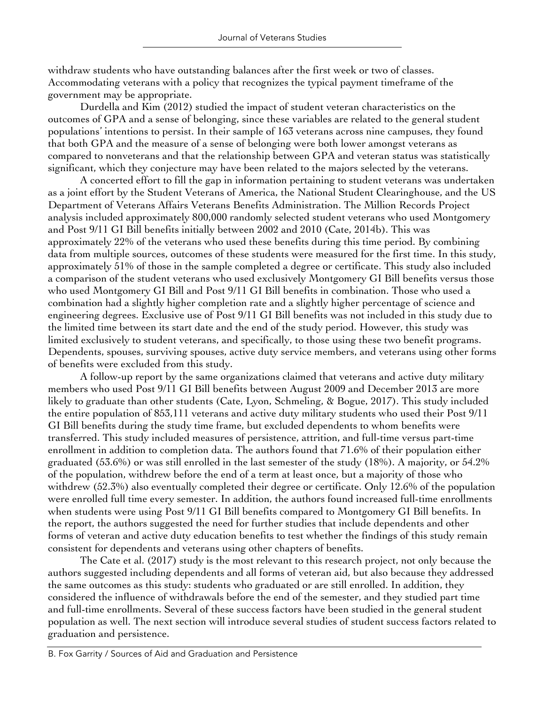withdraw students who have outstanding balances after the first week or two of classes. Accommodating veterans with a policy that recognizes the typical payment timeframe of the government may be appropriate.

Durdella and Kim (2012) studied the impact of student veteran characteristics on the outcomes of GPA and a sense of belonging, since these variables are related to the general student populations' intentions to persist. In their sample of 163 veterans across nine campuses, they found that both GPA and the measure of a sense of belonging were both lower amongst veterans as compared to nonveterans and that the relationship between GPA and veteran status was statistically significant, which they conjecture may have been related to the majors selected by the veterans.

A concerted effort to fill the gap in information pertaining to student veterans was undertaken as a joint effort by the Student Veterans of America, the National Student Clearinghouse, and the US Department of Veterans Affairs Veterans Benefits Administration. The Million Records Project analysis included approximately 800,000 randomly selected student veterans who used Montgomery and Post 9/11 GI Bill benefits initially between 2002 and 2010 (Cate, 2014b). This was approximately 22% of the veterans who used these benefits during this time period. By combining data from multiple sources, outcomes of these students were measured for the first time. In this study, approximately 51% of those in the sample completed a degree or certificate. This study also included a comparison of the student veterans who used exclusively Montgomery GI Bill benefits versus those who used Montgomery GI Bill and Post 9/11 GI Bill benefits in combination. Those who used a combination had a slightly higher completion rate and a slightly higher percentage of science and engineering degrees. Exclusive use of Post 9/11 GI Bill benefits was not included in this study due to the limited time between its start date and the end of the study period. However, this study was limited exclusively to student veterans, and specifically, to those using these two benefit programs. Dependents, spouses, surviving spouses, active duty service members, and veterans using other forms of benefits were excluded from this study.

A follow-up report by the same organizations claimed that veterans and active duty military members who used Post 9/11 GI Bill benefits between August 2009 and December 2013 are more likely to graduate than other students (Cate, Lyon, Schmeling, & Bogue, 2017). This study included the entire population of 853,111 veterans and active duty military students who used their Post 9/11 GI Bill benefits during the study time frame, but excluded dependents to whom benefits were transferred. This study included measures of persistence, attrition, and full-time versus part-time enrollment in addition to completion data. The authors found that 71.6% of their population either graduated (53.6%) or was still enrolled in the last semester of the study (18%). A majority, or 54.2% of the population, withdrew before the end of a term at least once, but a majority of those who withdrew (52.3%) also eventually completed their degree or certificate. Only 12.6% of the population were enrolled full time every semester. In addition, the authors found increased full-time enrollments when students were using Post 9/11 GI Bill benefits compared to Montgomery GI Bill benefits. In the report, the authors suggested the need for further studies that include dependents and other forms of veteran and active duty education benefits to test whether the findings of this study remain consistent for dependents and veterans using other chapters of benefits.

The Cate et al. (2017) study is the most relevant to this research project, not only because the authors suggested including dependents and all forms of veteran aid, but also because they addressed the same outcomes as this study: students who graduated or are still enrolled. In addition, they considered the influence of withdrawals before the end of the semester, and they studied part time and full-time enrollments. Several of these success factors have been studied in the general student population as well. The next section will introduce several studies of student success factors related to graduation and persistence.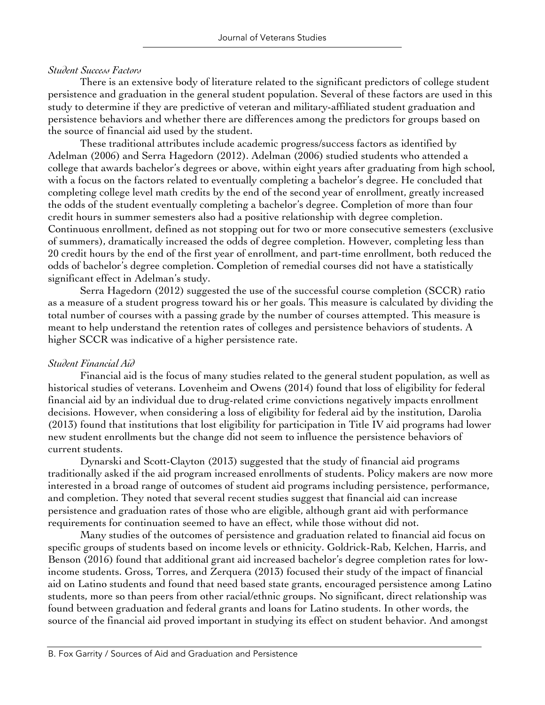### *Student Success Factors*

There is an extensive body of literature related to the significant predictors of college student persistence and graduation in the general student population. Several of these factors are used in this study to determine if they are predictive of veteran and military-affiliated student graduation and persistence behaviors and whether there are differences among the predictors for groups based on the source of financial aid used by the student.

These traditional attributes include academic progress/success factors as identified by Adelman (2006) and Serra Hagedorn (2012). Adelman (2006) studied students who attended a college that awards bachelor's degrees or above, within eight years after graduating from high school, with a focus on the factors related to eventually completing a bachelor's degree. He concluded that completing college level math credits by the end of the second year of enrollment, greatly increased the odds of the student eventually completing a bachelor's degree. Completion of more than four credit hours in summer semesters also had a positive relationship with degree completion. Continuous enrollment, defined as not stopping out for two or more consecutive semesters (exclusive of summers), dramatically increased the odds of degree completion. However, completing less than 20 credit hours by the end of the first year of enrollment, and part-time enrollment, both reduced the odds of bachelor's degree completion. Completion of remedial courses did not have a statistically significant effect in Adelman's study.

Serra Hagedorn (2012) suggested the use of the successful course completion (SCCR) ratio as a measure of a student progress toward his or her goals. This measure is calculated by dividing the total number of courses with a passing grade by the number of courses attempted. This measure is meant to help understand the retention rates of colleges and persistence behaviors of students. A higher SCCR was indicative of a higher persistence rate.

## *Student Financial Aid*

Financial aid is the focus of many studies related to the general student population, as well as historical studies of veterans. Lovenheim and Owens (2014) found that loss of eligibility for federal financial aid by an individual due to drug-related crime convictions negatively impacts enrollment decisions. However, when considering a loss of eligibility for federal aid by the institution, Darolia (2013) found that institutions that lost eligibility for participation in Title IV aid programs had lower new student enrollments but the change did not seem to influence the persistence behaviors of current students.

Dynarski and Scott-Clayton (2013) suggested that the study of financial aid programs traditionally asked if the aid program increased enrollments of students. Policy makers are now more interested in a broad range of outcomes of student aid programs including persistence, performance, and completion. They noted that several recent studies suggest that financial aid can increase persistence and graduation rates of those who are eligible, although grant aid with performance requirements for continuation seemed to have an effect, while those without did not.

Many studies of the outcomes of persistence and graduation related to financial aid focus on specific groups of students based on income levels or ethnicity. Goldrick-Rab, Kelchen, Harris, and Benson (2016) found that additional grant aid increased bachelor's degree completion rates for lowincome students. Gross, Torres, and Zerquera (2013) focused their study of the impact of financial aid on Latino students and found that need based state grants, encouraged persistence among Latino students, more so than peers from other racial/ethnic groups. No significant, direct relationship was found between graduation and federal grants and loans for Latino students. In other words, the source of the financial aid proved important in studying its effect on student behavior. And amongst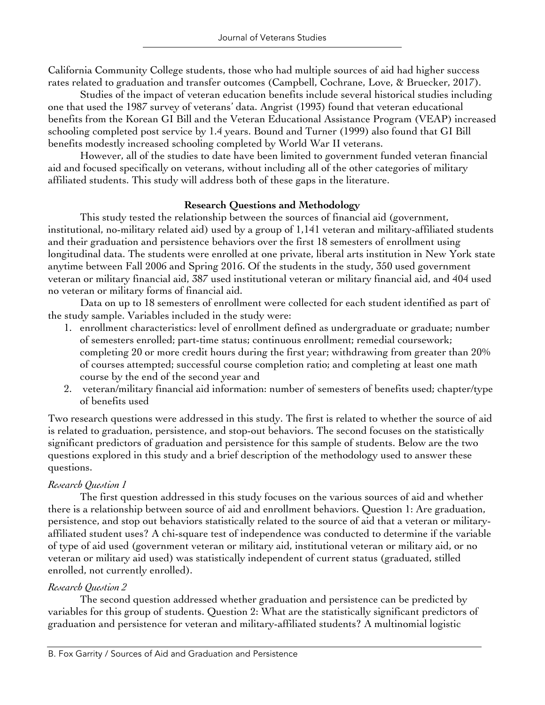California Community College students, those who had multiple sources of aid had higher success rates related to graduation and transfer outcomes (Campbell, Cochrane, Love, & Bruecker, 2017).

Studies of the impact of veteran education benefits include several historical studies including one that used the 1987 survey of veterans' data. Angrist (1993) found that veteran educational benefits from the Korean GI Bill and the Veteran Educational Assistance Program (VEAP) increased schooling completed post service by 1.4 years. Bound and Turner (1999) also found that GI Bill benefits modestly increased schooling completed by World War II veterans.

However, all of the studies to date have been limited to government funded veteran financial aid and focused specifically on veterans, without including all of the other categories of military affiliated students. This study will address both of these gaps in the literature.

# **Research Questions and Methodology**

This study tested the relationship between the sources of financial aid (government, institutional, no-military related aid) used by a group of 1,141 veteran and military-affiliated students and their graduation and persistence behaviors over the first 18 semesters of enrollment using longitudinal data. The students were enrolled at one private, liberal arts institution in New York state anytime between Fall 2006 and Spring 2016. Of the students in the study, 350 used government veteran or military financial aid, 387 used institutional veteran or military financial aid, and 404 used no veteran or military forms of financial aid.

Data on up to 18 semesters of enrollment were collected for each student identified as part of the study sample. Variables included in the study were:

- 1. enrollment characteristics: level of enrollment defined as undergraduate or graduate; number of semesters enrolled; part-time status; continuous enrollment; remedial coursework; completing 20 or more credit hours during the first year; withdrawing from greater than 20% of courses attempted; successful course completion ratio; and completing at least one math course by the end of the second year and
- 2. veteran/military financial aid information: number of semesters of benefits used; chapter/type of benefits used

Two research questions were addressed in this study. The first is related to whether the source of aid is related to graduation, persistence, and stop-out behaviors. The second focuses on the statistically significant predictors of graduation and persistence for this sample of students. Below are the two questions explored in this study and a brief description of the methodology used to answer these questions.

# *Research Question 1*

The first question addressed in this study focuses on the various sources of aid and whether there is a relationship between source of aid and enrollment behaviors. Question 1: Are graduation, persistence, and stop out behaviors statistically related to the source of aid that a veteran or militaryaffiliated student uses? A chi-square test of independence was conducted to determine if the variable of type of aid used (government veteran or military aid, institutional veteran or military aid, or no veteran or military aid used) was statistically independent of current status (graduated, stilled enrolled, not currently enrolled).

# *Research Question 2*

The second question addressed whether graduation and persistence can be predicted by variables for this group of students. Question 2: What are the statistically significant predictors of graduation and persistence for veteran and military-affiliated students? A multinomial logistic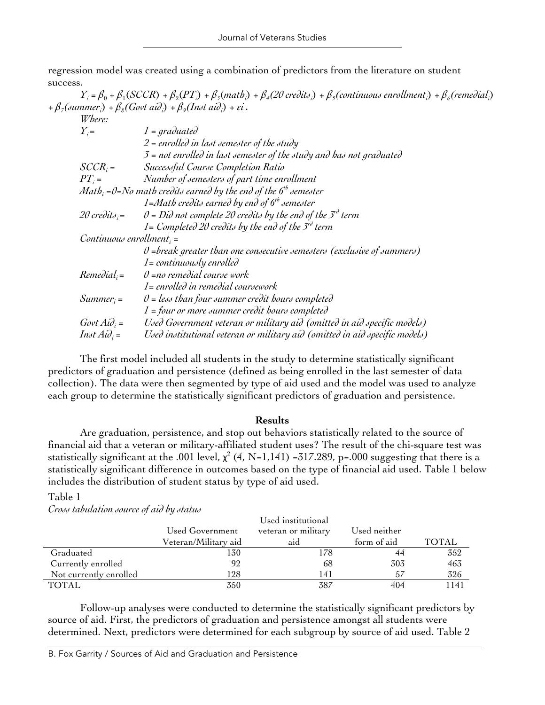regression model was created using a combination of predictors from the literature on student success.

 $Y_i = \beta_0 + \beta_1(SCCR) + \beta_2(PT_i) + \beta_3(math_i) + \beta_4(20 \text{ credit } i) + \beta_5(continuous \text{ enrollment } i) + \beta_6(reme\delta|i]$ + *β7(summeri* ) + *β8(Govt aidi* ) + *β9(Inst aidi* ) + *εi .*

| Where:                     |                                                                                                   |
|----------------------------|---------------------------------------------------------------------------------------------------|
| $Y_i =$                    | $1 = \text{graduated}$                                                                            |
|                            | $2$ = enrolled in last semester of the study                                                      |
|                            | $\mathcal{I}$ = not enrolled in last semester of the study and has not graduated                  |
| $SCCR_i =$                 | Successful Course Completion Ratio                                                                |
| $PT_i =$                   | Number of semesters of part time enrollment                                                       |
|                            | <i>Math</i> <sub>i</sub> = $0=$ No math credits earned by the end of the 6 <sup>th</sup> semester |
|                            | 1=Math credits earned by end of $6th$ semester                                                    |
| 20 credits; $=$            | $\theta = D\mathcal{U}$ not complete 20 credits by the end of the $5^{\mathcal{V}}$ term          |
|                            | 1= Completed 20 credits by the end of the $3^{\circ}$ term                                        |
| $Continuous$ enrollment; = |                                                                                                   |
|                            | $\theta$ =break greater than one consecutive semesters (exclusive of summers)                     |
|                            | $1 =$ continuously enrolled                                                                       |
| $Remedial_i =$             | $\theta$ =no remedial course work                                                                 |
|                            | $1 =$ enrolled in remedial coursework                                                             |
| $Summer_i =$               | $\theta$ = less than four summer credit hours completed                                           |
|                            | $1 =$ four or more summer credit hours completed                                                  |
| $Govt Ai\partial_i =$      | Used Government veteran or military aid (omitted in aid specific models)                          |
| $Int A i\partial_i =$      | Used institutional veteran or military aid (omitted in aid specific models)                       |

The first model included all students in the study to determine statistically significant predictors of graduation and persistence (defined as being enrolled in the last semester of data collection). The data were then segmented by type of aid used and the model was used to analyze each group to determine the statistically significant predictors of graduation and persistence.

### **Results**

Are graduation, persistence, and stop out behaviors statistically related to the source of financial aid that a veteran or military-affiliated student uses? The result of the chi-square test was statistically significant at the .001 level,  $\chi^2$  (4, N=1,141) =317.289, p=.000 suggesting that there is a statistically significant difference in outcomes based on the type of financial aid used. Table 1 below includes the distribution of student status by type of aid used.

### Table 1

*Cross tabulation source of aid by status*

|                        | Used institutional   |                     |              |              |  |  |
|------------------------|----------------------|---------------------|--------------|--------------|--|--|
|                        | Used Government      | veteran or military | Used neither |              |  |  |
|                        | Veteran/Military aid | aid                 | form of aid  | <b>TOTAL</b> |  |  |
| Graduated              | 130                  | l78                 | 44           | 352          |  |  |
| Currently enrolled     | 92                   | 68                  | 303          | 463          |  |  |
| Not currently enrolled | 128                  | 141                 | 57           | 326          |  |  |
| TOTAL                  | 350                  | 387                 | 404          | 1141         |  |  |

Follow-up analyses were conducted to determine the statistically significant predictors by source of aid. First, the predictors of graduation and persistence amongst all students were determined. Next, predictors were determined for each subgroup by source of aid used. Table 2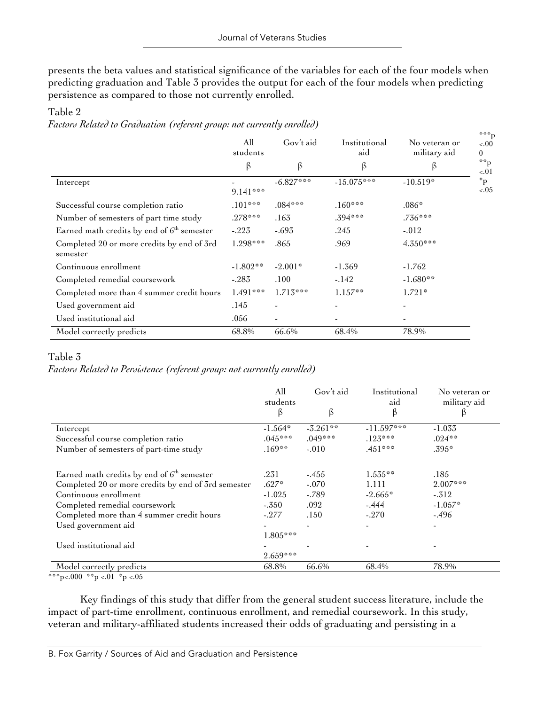presents the beta values and statistical significance of the variables for each of the four models when predicting graduation and Table 3 provides the output for each of the four models when predicting persistence as compared to those not currently enrolled.

#### \*\*\*p <.00  $\Omega$ \*\*p  $-.01$ \*p  $<05$ All students Gov't aid Institutional aid No veteran or military aid β β β β Intercept 9.141\*\*\*  $-6.827***$   $-15.075***$   $-10.519*$ Successful course completion ratio  $.101***$  .084\*\*\*  $.160***$  .160\*\*\* .086\* Number of semesters of part time study  $.278***$  .163 .394\*\*\* .394\*\*\* .736\*\*\* Earned math credits by end of  $6<sup>th</sup>$  semester  $-0.223$   $-0.693$   $-0.245$   $-0.012$ Completed 20 or more credits by end of 3rd semester  $1.298***$   $.865$   $.969$   $4.350***$ Continuous enrollment  $-1.802**$   $-2.001*$   $-1.369$   $-1.762$ Completed remedial coursework -.283 .100 -.142 -1.680\*\* Completed more than 4 summer credit hours  $1.491***$   $1.713***$   $1.157**$   $1.721*$ Used government aid and the set of the set of the set of the set of the set of the set of the set of the set o Used institutional aid  $.056$ Model correctly predicts 68.8% 66.6% 68.4% 78.9%

## Table 2

*Factors Related to Graduation (referent group: not currently enrolled)*

# Table 3

*Factors Related to Persistence (referent group: not currently enrolled)*

|                                                                                                                                                                                                                                                             | All<br>students<br>$\beta$                                                    | Gov't aid<br>β                               | Institutional<br>aid<br>β                              | No veteran or<br>military aid<br>ß                    |
|-------------------------------------------------------------------------------------------------------------------------------------------------------------------------------------------------------------------------------------------------------------|-------------------------------------------------------------------------------|----------------------------------------------|--------------------------------------------------------|-------------------------------------------------------|
| Intercept                                                                                                                                                                                                                                                   | $-1.564*$                                                                     | $-3.261**$                                   | $-11.597***$                                           | $-1.033$                                              |
| Successful course completion ratio                                                                                                                                                                                                                          | $.045***$                                                                     | $.049***$                                    | $.125***$                                              | $.024**$                                              |
| Number of semesters of part-time study                                                                                                                                                                                                                      | $.169***$                                                                     | $-.010$                                      | $.451***$                                              | $.395*$                                               |
| Earned math credits by end of $6th$ semester<br>Completed 20 or more credits by end of 3rd semester<br>Continuous enrollment<br>Completed remedial coursework<br>Completed more than 4 summer credit hours<br>Used government aid<br>Used institutional aid | .231<br>$.627*$<br>$-1.025$<br>$-.350$<br>$-.277$<br>$1.805***$<br>$2.659***$ | $-455$<br>$-.070$<br>$-.789$<br>.092<br>.150 | $1.535***$<br>1.111<br>$-2.665*$<br>$-.444$<br>$-.270$ | .185<br>$2.007***$<br>$-.312$<br>$-1.057*$<br>$-.496$ |
| Model correctly predicts                                                                                                                                                                                                                                    | 68.8%                                                                         | 66.6%                                        | 68.4%                                                  | 78.9%                                                 |

\*\*\*p<.000 \*\*p <.01 \*p <.05

Key findings of this study that differ from the general student success literature, include the impact of part-time enrollment, continuous enrollment, and remedial coursework. In this study, veteran and military-affiliated students increased their odds of graduating and persisting in a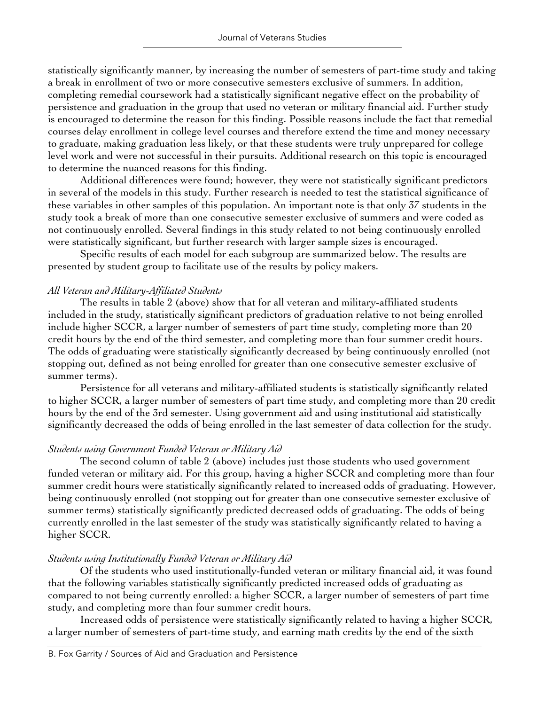statistically significantly manner, by increasing the number of semesters of part-time study and taking a break in enrollment of two or more consecutive semesters exclusive of summers. In addition, completing remedial coursework had a statistically significant negative effect on the probability of persistence and graduation in the group that used no veteran or military financial aid. Further study is encouraged to determine the reason for this finding. Possible reasons include the fact that remedial courses delay enrollment in college level courses and therefore extend the time and money necessary to graduate, making graduation less likely, or that these students were truly unprepared for college level work and were not successful in their pursuits. Additional research on this topic is encouraged to determine the nuanced reasons for this finding.

Additional differences were found; however, they were not statistically significant predictors in several of the models in this study. Further research is needed to test the statistical significance of these variables in other samples of this population. An important note is that only 37 students in the study took a break of more than one consecutive semester exclusive of summers and were coded as not continuously enrolled. Several findings in this study related to not being continuously enrolled were statistically significant, but further research with larger sample sizes is encouraged.

Specific results of each model for each subgroup are summarized below. The results are presented by student group to facilitate use of the results by policy makers.

# *All Veteran and Military-Affiliated Students*

The results in table 2 (above) show that for all veteran and military-affiliated students included in the study, statistically significant predictors of graduation relative to not being enrolled include higher SCCR, a larger number of semesters of part time study, completing more than 20 credit hours by the end of the third semester, and completing more than four summer credit hours. The odds of graduating were statistically significantly decreased by being continuously enrolled (not stopping out, defined as not being enrolled for greater than one consecutive semester exclusive of summer terms).

Persistence for all veterans and military-affiliated students is statistically significantly related to higher SCCR, a larger number of semesters of part time study, and completing more than 20 credit hours by the end of the 3rd semester. Using government aid and using institutional aid statistically significantly decreased the odds of being enrolled in the last semester of data collection for the study.

# *Students using Government Funded Veteran or Military Aid*

The second column of table 2 (above) includes just those students who used government funded veteran or military aid. For this group, having a higher SCCR and completing more than four summer credit hours were statistically significantly related to increased odds of graduating. However, being continuously enrolled (not stopping out for greater than one consecutive semester exclusive of summer terms) statistically significantly predicted decreased odds of graduating. The odds of being currently enrolled in the last semester of the study was statistically significantly related to having a higher SCCR.

# *Students using Institutionally Funded Veteran or Military Aid*

Of the students who used institutionally-funded veteran or military financial aid, it was found that the following variables statistically significantly predicted increased odds of graduating as compared to not being currently enrolled: a higher SCCR, a larger number of semesters of part time study, and completing more than four summer credit hours.

Increased odds of persistence were statistically significantly related to having a higher SCCR, a larger number of semesters of part-time study, and earning math credits by the end of the sixth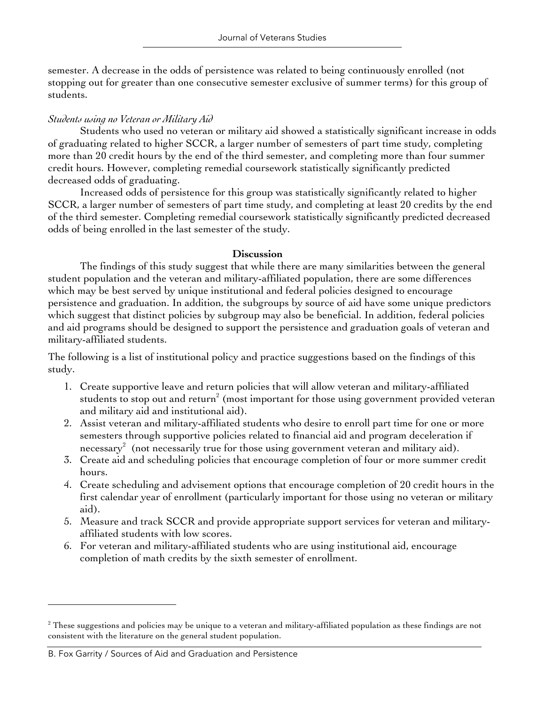semester. A decrease in the odds of persistence was related to being continuously enrolled (not stopping out for greater than one consecutive semester exclusive of summer terms) for this group of students.

# *Students using no Veteran or Military Aid*

Students who used no veteran or military aid showed a statistically significant increase in odds of graduating related to higher SCCR, a larger number of semesters of part time study, completing more than 20 credit hours by the end of the third semester, and completing more than four summer credit hours. However, completing remedial coursework statistically significantly predicted decreased odds of graduating.

Increased odds of persistence for this group was statistically significantly related to higher SCCR, a larger number of semesters of part time study, and completing at least 20 credits by the end of the third semester. Completing remedial coursework statistically significantly predicted decreased odds of being enrolled in the last semester of the study.

### **Discussion**

The findings of this study suggest that while there are many similarities between the general student population and the veteran and military-affiliated population, there are some differences which may be best served by unique institutional and federal policies designed to encourage persistence and graduation. In addition, the subgroups by source of aid have some unique predictors which suggest that distinct policies by subgroup may also be beneficial. In addition, federal policies and aid programs should be designed to support the persistence and graduation goals of veteran and military-affiliated students.

The following is a list of institutional policy and practice suggestions based on the findings of this study.

- 1. Create supportive leave and return policies that will allow veteran and military-affiliated students to stop out and return<sup>2</sup> (most important for those using government provided veteran and military aid and institutional aid).
- 2. Assist veteran and military-affiliated students who desire to enroll part time for one or more semesters through supportive policies related to financial aid and program deceleration if necessary<sup>2</sup> (not necessarily true for those using government veteran and military aid).
- 3. Create aid and scheduling policies that encourage completion of four or more summer credit hours.
- 4. Create scheduling and advisement options that encourage completion of 20 credit hours in the first calendar year of enrollment (particularly important for those using no veteran or military aid).
- 5. Measure and track SCCR and provide appropriate support services for veteran and militaryaffiliated students with low scores.
- 6. For veteran and military-affiliated students who are using institutional aid, encourage completion of math credits by the sixth semester of enrollment.

 

 $2$  These suggestions and policies may be unique to a veteran and military-affiliated population as these findings are not consistent with the literature on the general student population.

B. Fox Garrity / Sources of Aid and Graduation and Persistence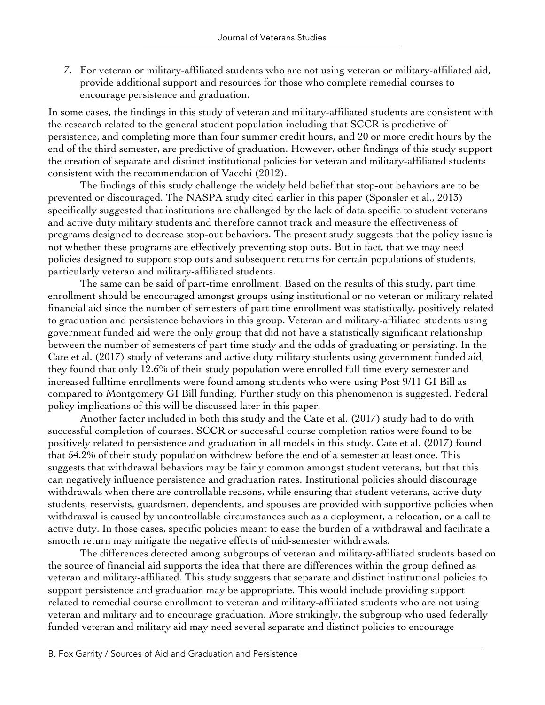7. For veteran or military-affiliated students who are not using veteran or military-affiliated aid, provide additional support and resources for those who complete remedial courses to encourage persistence and graduation.

In some cases, the findings in this study of veteran and military-affiliated students are consistent with the research related to the general student population including that SCCR is predictive of persistence, and completing more than four summer credit hours, and 20 or more credit hours by the end of the third semester, are predictive of graduation. However, other findings of this study support the creation of separate and distinct institutional policies for veteran and military-affiliated students consistent with the recommendation of Vacchi (2012).

The findings of this study challenge the widely held belief that stop-out behaviors are to be prevented or discouraged. The NASPA study cited earlier in this paper (Sponsler et al., 2013) specifically suggested that institutions are challenged by the lack of data specific to student veterans and active duty military students and therefore cannot track and measure the effectiveness of programs designed to decrease stop-out behaviors. The present study suggests that the policy issue is not whether these programs are effectively preventing stop outs. But in fact, that we may need policies designed to support stop outs and subsequent returns for certain populations of students, particularly veteran and military-affiliated students.

The same can be said of part-time enrollment. Based on the results of this study, part time enrollment should be encouraged amongst groups using institutional or no veteran or military related financial aid since the number of semesters of part time enrollment was statistically, positively related to graduation and persistence behaviors in this group. Veteran and military-affiliated students using government funded aid were the only group that did not have a statistically significant relationship between the number of semesters of part time study and the odds of graduating or persisting. In the Cate et al. (2017) study of veterans and active duty military students using government funded aid, they found that only 12.6% of their study population were enrolled full time every semester and increased fulltime enrollments were found among students who were using Post 9/11 GI Bill as compared to Montgomery GI Bill funding. Further study on this phenomenon is suggested. Federal policy implications of this will be discussed later in this paper.

Another factor included in both this study and the Cate et al. (2017) study had to do with successful completion of courses. SCCR or successful course completion ratios were found to be positively related to persistence and graduation in all models in this study. Cate et al. (2017) found that 54.2% of their study population withdrew before the end of a semester at least once. This suggests that withdrawal behaviors may be fairly common amongst student veterans, but that this can negatively influence persistence and graduation rates. Institutional policies should discourage withdrawals when there are controllable reasons, while ensuring that student veterans, active duty students, reservists, guardsmen, dependents, and spouses are provided with supportive policies when withdrawal is caused by uncontrollable circumstances such as a deployment, a relocation, or a call to active duty. In those cases, specific policies meant to ease the burden of a withdrawal and facilitate a smooth return may mitigate the negative effects of mid-semester withdrawals.

The differences detected among subgroups of veteran and military-affiliated students based on the source of financial aid supports the idea that there are differences within the group defined as veteran and military-affiliated. This study suggests that separate and distinct institutional policies to support persistence and graduation may be appropriate. This would include providing support related to remedial course enrollment to veteran and military-affiliated students who are not using veteran and military aid to encourage graduation. More strikingly, the subgroup who used federally funded veteran and military aid may need several separate and distinct policies to encourage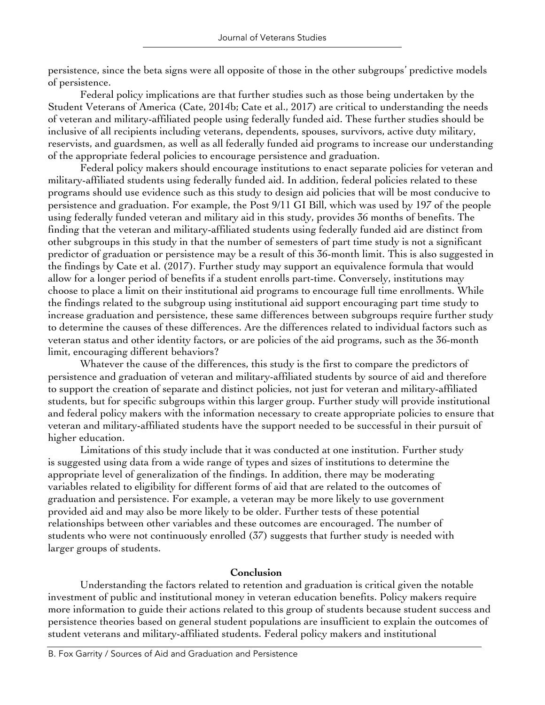persistence, since the beta signs were all opposite of those in the other subgroups' predictive models of persistence.

Federal policy implications are that further studies such as those being undertaken by the Student Veterans of America (Cate, 2014b; Cate et al., 2017) are critical to understanding the needs of veteran and military-affiliated people using federally funded aid. These further studies should be inclusive of all recipients including veterans, dependents, spouses, survivors, active duty military, reservists, and guardsmen, as well as all federally funded aid programs to increase our understanding of the appropriate federal policies to encourage persistence and graduation.

Federal policy makers should encourage institutions to enact separate policies for veteran and military-affiliated students using federally funded aid. In addition, federal policies related to these programs should use evidence such as this study to design aid policies that will be most conducive to persistence and graduation. For example, the Post 9/11 GI Bill, which was used by 197 of the people using federally funded veteran and military aid in this study, provides 36 months of benefits. The finding that the veteran and military-affiliated students using federally funded aid are distinct from other subgroups in this study in that the number of semesters of part time study is not a significant predictor of graduation or persistence may be a result of this 36-month limit. This is also suggested in the findings by Cate et al. (2017). Further study may support an equivalence formula that would allow for a longer period of benefits if a student enrolls part-time. Conversely, institutions may choose to place a limit on their institutional aid programs to encourage full time enrollments. While the findings related to the subgroup using institutional aid support encouraging part time study to increase graduation and persistence, these same differences between subgroups require further study to determine the causes of these differences. Are the differences related to individual factors such as veteran status and other identity factors, or are policies of the aid programs, such as the 36-month limit, encouraging different behaviors?

Whatever the cause of the differences, this study is the first to compare the predictors of persistence and graduation of veteran and military-affiliated students by source of aid and therefore to support the creation of separate and distinct policies, not just for veteran and military-affiliated students, but for specific subgroups within this larger group. Further study will provide institutional and federal policy makers with the information necessary to create appropriate policies to ensure that veteran and military-affiliated students have the support needed to be successful in their pursuit of higher education.

Limitations of this study include that it was conducted at one institution. Further study is suggested using data from a wide range of types and sizes of institutions to determine the appropriate level of generalization of the findings. In addition, there may be moderating variables related to eligibility for different forms of aid that are related to the outcomes of graduation and persistence. For example, a veteran may be more likely to use government provided aid and may also be more likely to be older. Further tests of these potential relationships between other variables and these outcomes are encouraged. The number of students who were not continuously enrolled (37) suggests that further study is needed with larger groups of students.

### **Conclusion**

Understanding the factors related to retention and graduation is critical given the notable investment of public and institutional money in veteran education benefits. Policy makers require more information to guide their actions related to this group of students because student success and persistence theories based on general student populations are insufficient to explain the outcomes of student veterans and military-affiliated students. Federal policy makers and institutional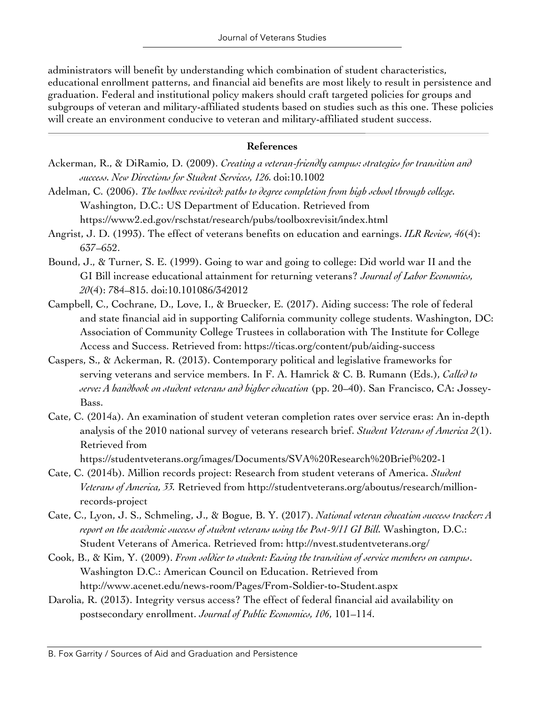administrators will benefit by understanding which combination of student characteristics, educational enrollment patterns, and financial aid benefits are most likely to result in persistence and graduation. Federal and institutional policy makers should craft targeted policies for groups and subgroups of veteran and military-affiliated students based on studies such as this one. These policies will create an environment conducive to veteran and military-affiliated student success.

### **References**

- Ackerman, R., & DiRamio, D. (2009). *Creating a veteran-friendly campus: strategies for transition and success. New Directions for Student Services, 126.* doi:10.1002
- Adelman, C. (2006). *The toolbox revisited: paths to degree completion from high school through college.* Washington, D.C.: US Department of Education. Retrieved from https://www2.ed.gov/rschstat/research/pubs/toolboxrevisit/index.html
- Angrist, J. D. (1993). The effect of veterans benefits on education and earnings. *ILR Review, 46*(4): 637–652.
- Bound, J., & Turner, S. E. (1999). Going to war and going to college: Did world war II and the GI Bill increase educational attainment for returning veterans? *Journal of Labor Economics, 20*(4): 784–815. doi:10.101086/342012
- Campbell, C., Cochrane, D., Love, I., & Bruecker, E. (2017). Aiding success: The role of federal and state financial aid in supporting California community college students. Washington, DC: Association of Community College Trustees in collaboration with The Institute for College Access and Success. Retrieved from: https://ticas.org/content/pub/aiding-success
- Caspers, S., & Ackerman, R. (2013). Contemporary political and legislative frameworks for serving veterans and service members. In F. A. Hamrick & C. B. Rumann (Eds.), *Called to serve: A handbook on student veterans and higher education* (pp. 20–40). San Francisco, CA: Jossey-Bass.
- Cate, C. (2014a). An examination of student veteran completion rates over service eras: An in-depth analysis of the 2010 national survey of veterans research brief. *Student Veterans of America 2*(1). Retrieved from

https://studentveterans.org/images/Documents/SVA%20Research%20Brief%202-1

- Cate, C. (2014b). Million records project: Research from student veterans of America. *Student Veterans of America, 33.* Retrieved from http://studentveterans.org/aboutus/research/millionrecords-project
- Cate, C., Lyon, J. S., Schmeling, J., & Bogue, B. Y. (2017). *National veteran education success tracker: A report on the academic success of student veterans using the Post-9/11 GI Bill.* Washington, D.C.: Student Veterans of America. Retrieved from: http://nvest.studentveterans.org/
- Cook, B., & Kim, Y. (2009). *From soldier to student: Easing the transition of service members on campus*. Washington D.C.: American Council on Education. Retrieved from http://www.acenet.edu/news-room/Pages/From-Soldier-to-Student.aspx
- Darolia, R. (2013). Integrity versus access? The effect of federal financial aid availability on postsecondary enrollment. *Journal of Public Economics, 106*, 101–114.